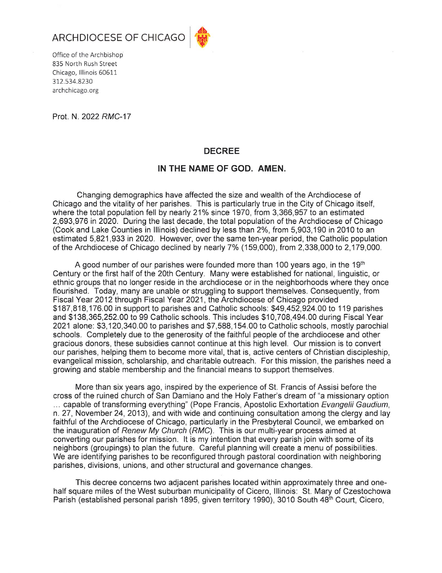



Office of the Archbishop 835 North Rush Street Chicago, Illinois 60611 312.534.8230 archchicago.org

Prot. N. 2022 RMC-17

## **DECREE**

## IN THE NAME OF GOD. AMEN.

Changing demographics have affected the size and wealth of the Archdiocese of Chicago and the vitality of her parishes. This is particularly true in the City of Chicago itself, where the total population fell by nearly 21% since 1970, from 3,366,957 to an estimated 2,693,976 in 2020. During the last decade, the total population of the Archdiocese of Chicago (Cook and Lake Counties in Illinois) declined by less than 2%, from 5,903,190 in 2010 to an estimated 5,821,933 in 2020. However, over the same ten-year period, the Catholic population of the Archdiocese of Chicago declined by nearly 7% (159,000), from 2,338,000 to 2,179,000.

A good number of our parishes were founded more than 100 years ago, in the 19th Century or the first half of the 20th Century. Many were established for national, linguistic, or ethnic groups that no longer reside in the archdiocese or in the neighborhoods where they once flourished. Today, many are unable or struggling to support themselves. Consequently, from Fiscal Year 2012 through Fiscal Year 2021, the Archdiocese of Chicago provided \$187,818,176.00 in support to parishes and Catholic schools: \$49,452,924.00 to 119 parishes and \$138,365,252.00 to 99 Catholic schools. This includes \$10,708,494.00 during Fiscal Year 2021 alone: \$3,120,340.00 to parishes and \$7,588,154.00 to Catholic schools, mostly parochial schools. Completely due to the generosity of the faithful people of the archdiocese and other gracious donors, these subsidies cannot continue at this high level. Our mission is to convert our parishes, helping them to become more vital, that is, active centers of Christian discipleship, evangelical mission, scholarship, and charitable outreach. For this mission, the parishes need a growing and stable membership and the financial means to support themselves.

More than six years ago, inspired by the experience of St. Francis of Assisi before the cross of the ruined church of San Damiano and the Holy Father's dream of "a missionary option ... capable of transforming everything" (Pope Francis, Apostolic Exhortation Evangelii Gaudium, n. 27, November 24, 2013), and with wide and continuing consultation among the clergy and lay faithful of the Archdiocese of Chicago, particularly in the Presbyteral Council, we embarked on the inauguration of Renew My Church (RMC). This is our multi-year process aimed at converting our parishes for mission. It is my intention that every parish join with some of its neighbors (groupings) to plan the future. Careful planning will create a menu of possibilities. We are identifying parishes to be reconfigured through pastoral coordination with neighboring parishes, divisions, unions, and other structural and governance changes.

This decree concerns two adjacent parishes located within approximately three and onehalf square miles of the West suburban municipality of Cicero, Illinois: St. Mary of Czestochowa Parish (established personal parish 1895, given territory 1990), 3010 South 48th Court, Cicero,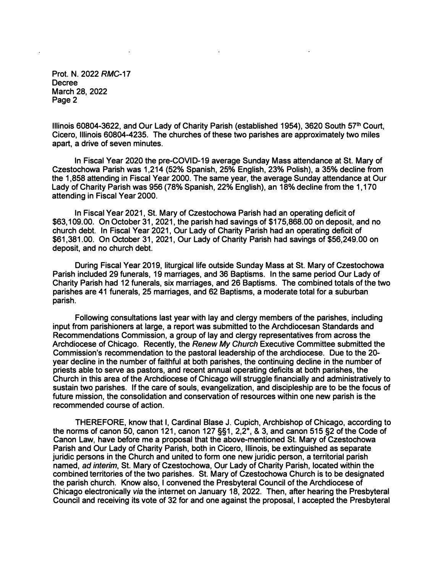**Prot. N. 2022** *RMC-17*  **Decree March 28, 2022 Page 2** 

**Illinois 60804-3622, and Our Lady of Charity Parish (established 1954), 3620 South 57 th Court, Cicero, Illinois 60804-4235. The churches of these two parishes are approximately two miles apart, a drive of seven minutes.** 

**In Fiscal Year 2020 the pre-COVID-19 average Sunday Mass attendance at St. Mary of Czestochowa Parish was 1,214 (52% Spanish, 25% English, 23% Polish), a 35% decline from the 1,858 attending in Fiscal Year 2000. The same year, the average Sunday attendance at Our Lady of Charity Parish was 956 (78% Spanish, 22% English), an 18% decline from the 1,170 attending in Fiscal Year 2000.** 

**In Fiscal Year 2021, St. Mary of Czestochowa Parish had an operating deficit of \$63,109.00. On October 31, 2021, the parish had savings of \$175,868.00 on deposit, and no church debt. In Fiscal Year 2021, Our Lady of Charity Parish had an operating deficit of \$61,381.00. On October 31, 2021, Our Lady of Charity Parish had savings of \$56,249.00 on deposit, and no church debt.** 

**During Fiscal Year 2019, liturgical life outside Sunday Mass at St. Mary of Czestochowa Parish included 29 funerals, 19 marriages, and 36 Baptisms. In the same period Our Lady of Charity Parish had 12 funerals, six marriages, and 26 Baptisms. The combined totals of the two parishes are 41 funerals, 25 marriages, and 62 Baptisms, a moderate total for a suburban parish.**

**Following consultations last year with lay and clergy members of the parishes, including input from parishioners at large, a report was submitted to the Archdiocesan Standards and Recommendations Commission, a group of lay and clergy representatives from across the Archdiocese of Chicago. Recently, the** *Renew My Church* **Executive Committee submitted the Commission's recommendation to the pastoral leadership of the archdiocese. Due to the 20 year decline in the number of faithful at both parishes, the continuing decline in the number of priests able to serve as pastors, and recent annual operating deficits at both parishes, the Church in this area of the Archdiocese of Chicago will struggle financially and administratively to sustain two parishes. If the care of souls, evangelization, and discipleship are to be the focus of future mission, the consolidation and conservation of resources within one new parish is the recommended course of action.** 

**THEREFORE, know that I, Cardinal Blase J. Cupich, Archbishop of Chicago, according to the norms of canon 50, canon 121, canon 127 §§1, 2,2° , & 3, and canon 515 §2 of the Code of Canon Law, have before me a proposal that the above-mentioned St. Mary of Czestochowa Parish and Our Lady of Charity Parish, both in Cicero, Illinois, be extinguished as separate juridic persons in the Church and united to form one new juridic person, a territorial parish named,** *ad interim***, St. Mary of Czestochowa, Our Lady of Charity Parish, located within the combined territories of the two parishes. St. Mary of Czestochowa Church is to be designated the parish church. Know also, I convened the Presbyteral Council of the Archdiocese of Chicago electronically** *via* **the internet on January 18, 2022. Then, after hearing the Presbyteral Council and receiving its vote of 32 for and one against the proposal, I accepted the Presbyteral**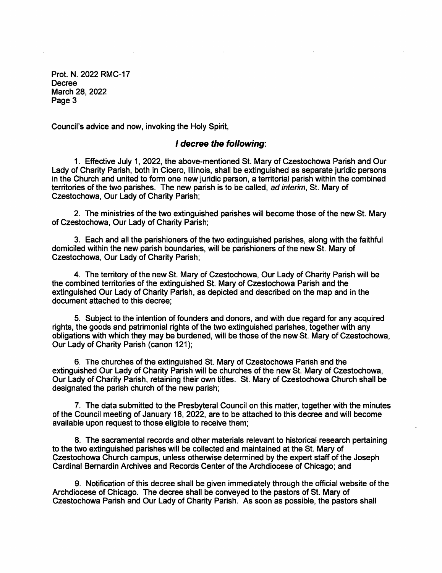Prot. N. 2022 RMC-17 Decree March 28, 2022 Page 3

Council's advice and now, invoking the Holy Spirit,

## I decree the following:

1. Effective July 1, 2022, the above-mentioned St. Mary of Czestochowa Parish and Our Ladv of Charity Parish, both in Cicero, Illinois, shall be extinguished as separate juridic persons in the Church and united to form one new juridic person, a territorial parish within the combined territories of the two parishes. The new parish is to be called, ad interim, St. Mary of Czestochowa, Our Lady of Charity Parish;

2. The ministries of the two extinguished parishes will become those of the new St. Mary of Czestochowa, Our Lady of Charity Parish;

3. Each and all the parishioners of the two extinguished parishes, along with the faithful domiciled within the new parish boundaries, will be parishioners of the new St. Mary of Czestochowa, Our Lady of Charity Parish;

4. The territory of the new St. Mary of Czestochowa, Our Lady of Charity Parish will be the combined territories of the extinguished St. Mary of Czestochowa Parish and the extinguished Our Lady of Charity Parish, as depicted and described on the map and in the document attached to this decree:

5. Subject to the intention of founders and donors, and with due regard for any acquired rights, the goods and patrimonial rights of the two extinguished parishes, together with any obligations with which they may be burdened, will be those of the new St. Mary of Czestochowa, Our Lady of Charity Parish (canon 121);

6. The churches of the extinguished St. Mary of Czestochowa Parish and the extinguished Our Lady of Charity Parish will be churches of the new St. Mary of Czestochowa. Our Lady of Charity Parish, retaining their own titles. St. Mary of Czestochowa Church shall be designated the parish church of the new parish;

7. The data submitted to the Presbyteral Council on this matter, together with the minutes of the Council meeting of January 18, 2022, are to be attached to this decree and will become available upon request to those eligible to receive them;

8. The sacramental records and other materials relevant to historical research pertaining to the two extinguished parishes will be collected and maintained at the St. Mary of Czestochowa Church campus, unless otherwise determined by the expert staff of the Joseph Cardinal Bernardin Archives and Records Center of the Archdiocese of Chicago; and

9. Notification of this decree shall be given immediately through the official website of the Archdiocese of Chicago. The decree shall be conveyed to the pastors of St. Mary of Czestochowa Parish and Our Lady of Charity Parish. As soon as possible, the pastors shall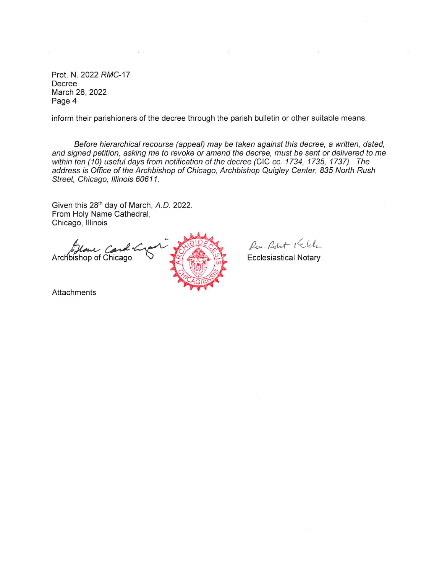Prot. N. 2022 RMC-17 Decree March 28, 2022 Page 4

inform their parishioners of the decree through the parish bulletin or other suitable means.

Before hierarchical recourse (appeal) may be taken against this decree, a written, dated, and signed petition, asking me to revoke or amend the decree, must be sent or delivered to me within ten (10) useful days from notification of the decree (CIC cc. 1734, 1735, 1737). The address is Office of the Archbishop of Chicago, Archbishop Quigley Center, 835 North Rush Street, Chicago, Illinois 60611.

Given this 28<sup>th</sup> day of March, A.D. 2022. From Holy Name Cathedral, Chicago, Illinois

Archbishop of Chicago

Res. Robert Kelek

**Ecclesiastical Notary** 

Attachments